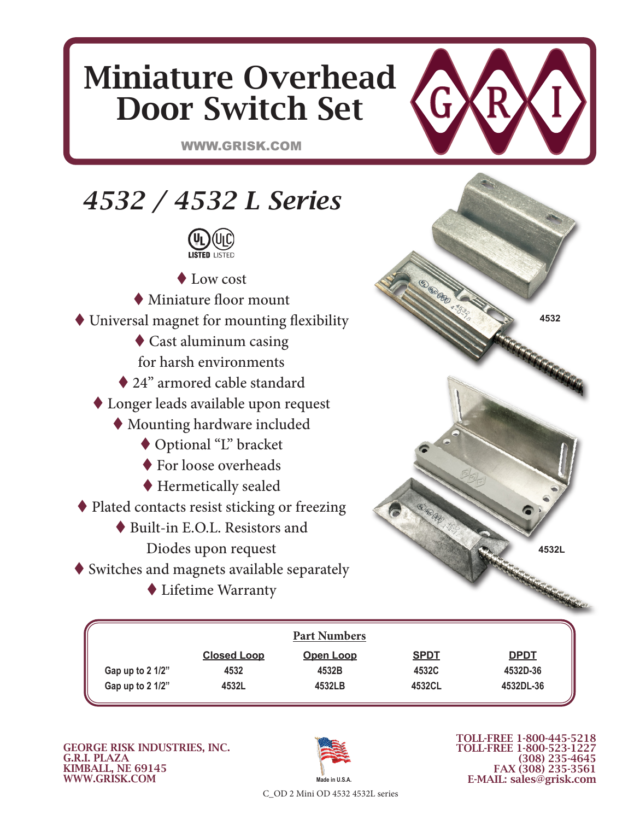## Miniature Overhead Door Switch Set

G

WWW.GRISK.COM



|                  |                    | <b>Part Numbers</b> |             |             |
|------------------|--------------------|---------------------|-------------|-------------|
|                  | <b>Closed Loop</b> | <b>Open Loop</b>    | <b>SPDT</b> | <b>DPDT</b> |
| Gap up to 2 1/2" | 4532               | 4532B               | 4532C       | 4532D-36    |
| Gap up to 2 1/2" | 4532L              | 4532LB              | 4532CL      | 4532DL-36   |

GEORGE RISK INDUSTRIES, INC. G.R.I. PLAZA KIMBALL, NE 69145 WWW.GRISK.COM



TOLL-FREE 1-800-445-5218 TOLL-FREE 1-800-523-1227 (308) 235-4645 FAX (308) 235-3561 E-MAIL: sales@grisk.com

C\_OD 2 Mini OD 4532 4532L series